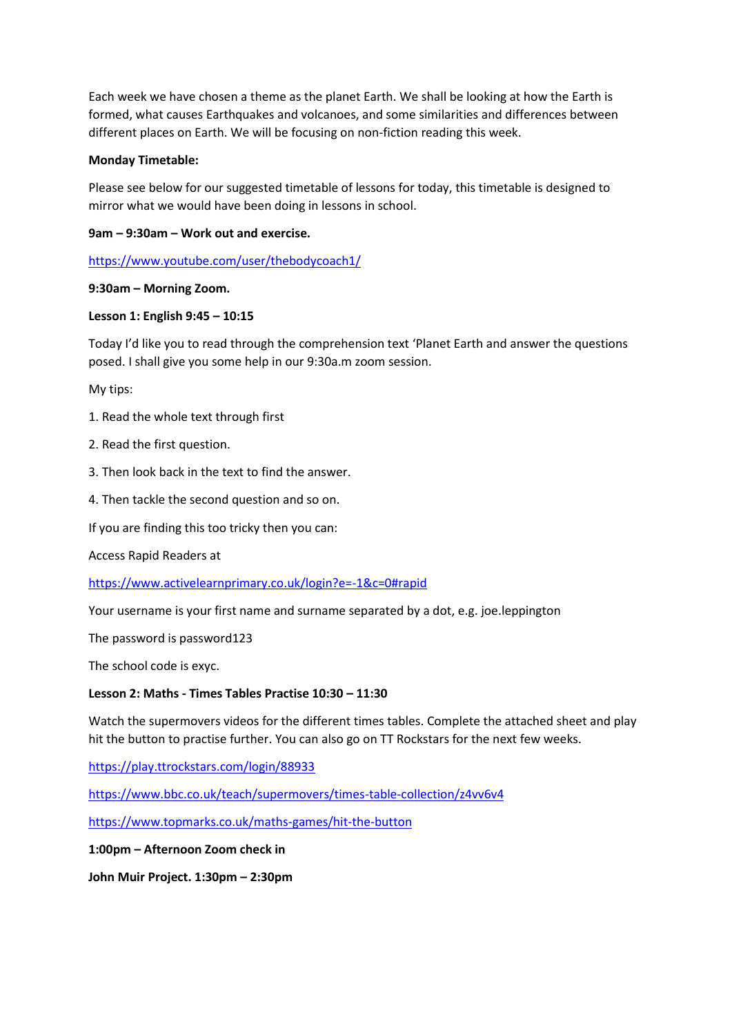Each week we have chosen a theme as the planet Earth. We shall be looking at how the Earth is formed, what causes Earthquakes and volcanoes, and some similarities and differences between different places on Earth. We will be focusing on non-fiction reading this week.

## **Monday Timetable:**

Please see below for our suggested timetable of lessons for today, this timetable is designed to mirror what we would have been doing in lessons in school.

# **9am – 9:30am – Work out and exercise.**

<https://www.youtube.com/user/thebodycoach1/>

# **9:30am – Morning Zoom.**

# **Lesson 1: English 9:45 – 10:15**

Today I'd like you to read through the comprehension text 'Planet Earth and answer the questions posed. I shall give you some help in our 9:30a.m zoom session.

My tips:

- 1. Read the whole text through first
- 2. Read the first question.
- 3. Then look back in the text to find the answer.
- 4. Then tackle the second question and so on.

If you are finding this too tricky then you can:

Access Rapid Readers at

<https://www.activelearnprimary.co.uk/login?e=-1&c=0#rapid>

Your username is your first name and surname separated by a dot, e.g. joe.leppington

The password is password123

The school code is exyc.

## **Lesson 2: Maths - Times Tables Practise 10:30 – 11:30**

Watch the supermovers videos for the different times tables. Complete the attached sheet and play hit the button to practise further. You can also go on TT Rockstars for the next few weeks.

<https://play.ttrockstars.com/login/88933>

<https://www.bbc.co.uk/teach/supermovers/times-table-collection/z4vv6v4>

<https://www.topmarks.co.uk/maths-games/hit-the-button>

**1:00pm – Afternoon Zoom check in**

**John Muir Project. 1:30pm – 2:30pm**